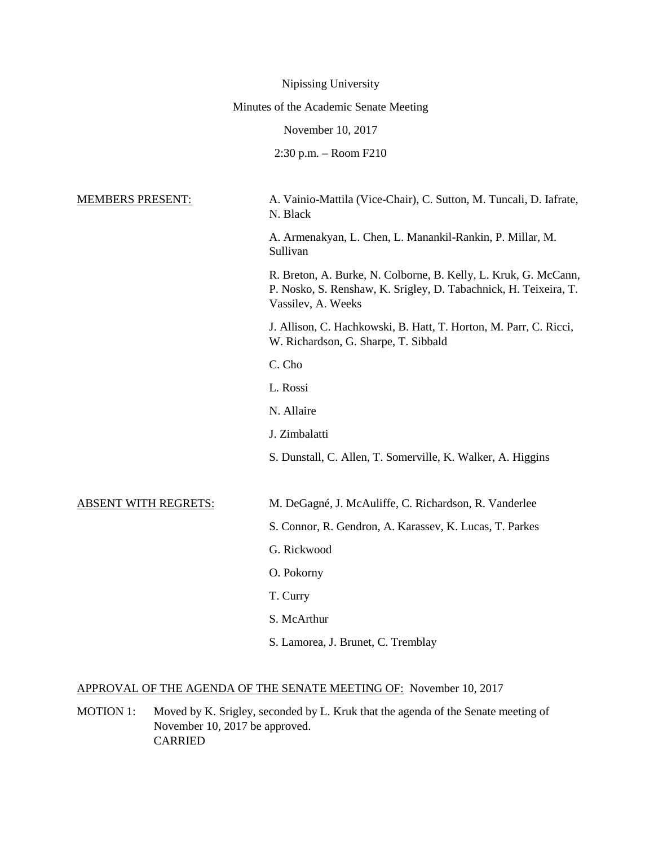|                             | Nipissing University                                                                                                                                      |
|-----------------------------|-----------------------------------------------------------------------------------------------------------------------------------------------------------|
|                             | Minutes of the Academic Senate Meeting                                                                                                                    |
|                             | November 10, 2017                                                                                                                                         |
|                             | $2:30$ p.m. $-$ Room $F210$                                                                                                                               |
| <b>MEMBERS PRESENT:</b>     | A. Vainio-Mattila (Vice-Chair), C. Sutton, M. Tuncali, D. Iafrate,<br>N. Black                                                                            |
|                             | A. Armenakyan, L. Chen, L. Manankil-Rankin, P. Millar, M.<br>Sullivan                                                                                     |
|                             | R. Breton, A. Burke, N. Colborne, B. Kelly, L. Kruk, G. McCann,<br>P. Nosko, S. Renshaw, K. Srigley, D. Tabachnick, H. Teixeira, T.<br>Vassilev, A. Weeks |
|                             | J. Allison, C. Hachkowski, B. Hatt, T. Horton, M. Parr, C. Ricci,<br>W. Richardson, G. Sharpe, T. Sibbald                                                 |
|                             | C. Cho                                                                                                                                                    |
|                             | L. Rossi                                                                                                                                                  |
|                             | N. Allaire                                                                                                                                                |
|                             | J. Zimbalatti                                                                                                                                             |
|                             | S. Dunstall, C. Allen, T. Somerville, K. Walker, A. Higgins                                                                                               |
| <b>ABSENT WITH REGRETS:</b> | M. DeGagné, J. McAuliffe, C. Richardson, R. Vanderlee                                                                                                     |
|                             | S. Connor, R. Gendron, A. Karassev, K. Lucas, T. Parkes                                                                                                   |
|                             | G. Rickwood                                                                                                                                               |
|                             | O. Pokorny                                                                                                                                                |
|                             | T. Curry                                                                                                                                                  |
|                             | S. McArthur                                                                                                                                               |
|                             | S. Lamorea, J. Brunet, C. Tremblay                                                                                                                        |

# APPROVAL OF THE AGENDA OF THE SENATE MEETING OF: November 10, 2017

MOTION 1: Moved by K. Srigley, seconded by L. Kruk that the agenda of the Senate meeting of November 10, 2017 be approved. CARRIED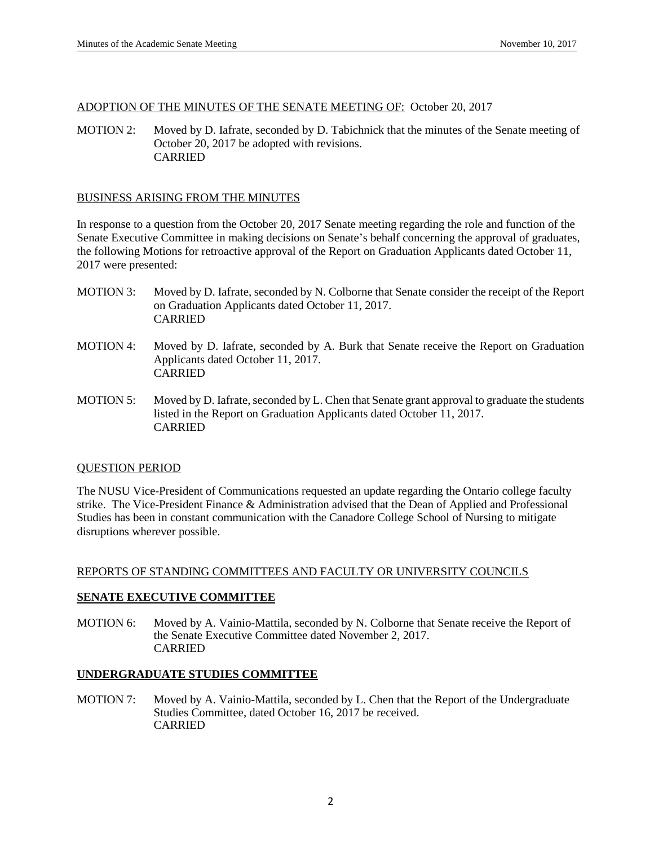### ADOPTION OF THE MINUTES OF THE SENATE MEETING OF: October 20, 2017

MOTION 2: Moved by D. Iafrate, seconded by D. Tabichnick that the minutes of the Senate meeting of October 20, 2017 be adopted with revisions. CARRIED

# BUSINESS ARISING FROM THE MINUTES

In response to a question from the October 20, 2017 Senate meeting regarding the role and function of the Senate Executive Committee in making decisions on Senate's behalf concerning the approval of graduates, the following Motions for retroactive approval of the Report on Graduation Applicants dated October 11, 2017 were presented:

- MOTION 3: Moved by D. Iafrate, seconded by N. Colborne that Senate consider the receipt of the Report on Graduation Applicants dated October 11, 2017. CARRIED
- MOTION 4: Moved by D. Iafrate, seconded by A. Burk that Senate receive the Report on Graduation Applicants dated October 11, 2017. CARRIED
- MOTION 5: Moved by D. Iafrate, seconded by L. Chen that Senate grant approval to graduate the students listed in the Report on Graduation Applicants dated October 11, 2017. CARRIED

### QUESTION PERIOD

The NUSU Vice-President of Communications requested an update regarding the Ontario college faculty strike. The Vice-President Finance & Administration advised that the Dean of Applied and Professional Studies has been in constant communication with the Canadore College School of Nursing to mitigate disruptions wherever possible.

### REPORTS OF STANDING COMMITTEES AND FACULTY OR UNIVERSITY COUNCILS

### **SENATE EXECUTIVE COMMITTEE**

MOTION 6: Moved by A. Vainio-Mattila, seconded by N. Colborne that Senate receive the Report of the Senate Executive Committee dated November 2, 2017. CARRIED

### **UNDERGRADUATE STUDIES COMMITTEE**

MOTION 7: Moved by A. Vainio-Mattila, seconded by L. Chen that the Report of the Undergraduate Studies Committee, dated October 16, 2017 be received. CARRIED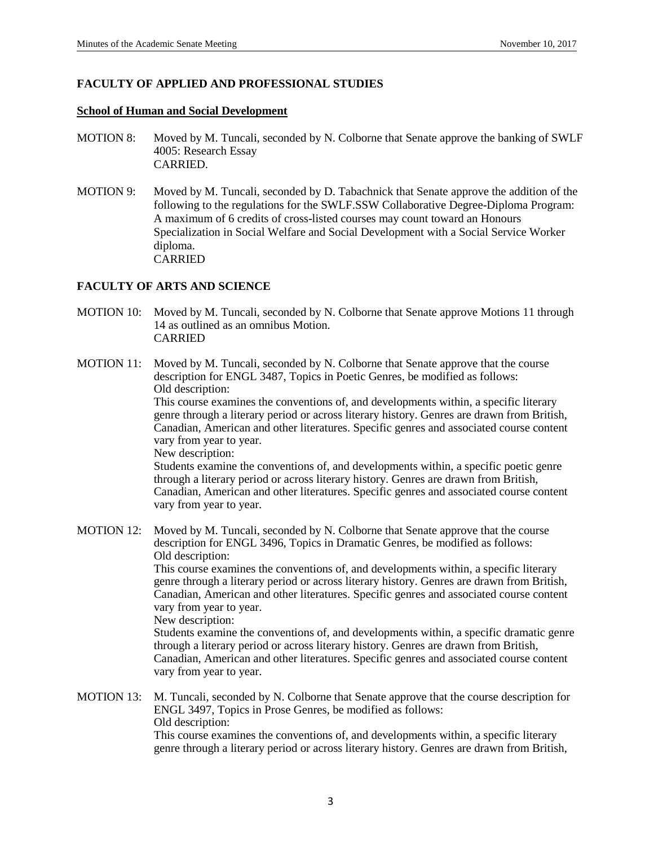# **FACULTY OF APPLIED AND PROFESSIONAL STUDIES**

## **School of Human and Social Development**

- MOTION 8: Moved by M. Tuncali, seconded by N. Colborne that Senate approve the banking of SWLF 4005: Research Essay CARRIED.
- MOTION 9: Moved by M. Tuncali, seconded by D. Tabachnick that Senate approve the addition of the following to the regulations for the SWLF.SSW Collaborative Degree-Diploma Program: A maximum of 6 credits of cross-listed courses may count toward an Honours Specialization in Social Welfare and Social Development with a Social Service Worker diploma. CARRIED

# **FACULTY OF ARTS AND SCIENCE**

- MOTION 10: Moved by M. Tuncali, seconded by N. Colborne that Senate approve Motions 11 through 14 as outlined as an omnibus Motion. CARRIED
- MOTION 11: Moved by M. Tuncali, seconded by N. Colborne that Senate approve that the course description for ENGL 3487, Topics in Poetic Genres, be modified as follows: Old description:

This course examines the conventions of, and developments within, a specific literary genre through a literary period or across literary history. Genres are drawn from British, Canadian, American and other literatures. Specific genres and associated course content vary from year to year.

New description:

Students examine the conventions of, and developments within, a specific poetic genre through a literary period or across literary history. Genres are drawn from British, Canadian, American and other literatures. Specific genres and associated course content vary from year to year.

MOTION 12: Moved by M. Tuncali, seconded by N. Colborne that Senate approve that the course description for ENGL 3496, Topics in Dramatic Genres, be modified as follows: Old description: This course examines the conventions of, and developments within, a specific literary genre through a literary period or across literary history. Genres are drawn from British,

Canadian, American and other literatures. Specific genres and associated course content vary from year to year.

New description:

Students examine the conventions of, and developments within, a specific dramatic genre through a literary period or across literary history. Genres are drawn from British, Canadian, American and other literatures. Specific genres and associated course content vary from year to year.

MOTION 13: M. Tuncali, seconded by N. Colborne that Senate approve that the course description for ENGL 3497, Topics in Prose Genres, be modified as follows: Old description: This course examines the conventions of, and developments within, a specific literary genre through a literary period or across literary history. Genres are drawn from British,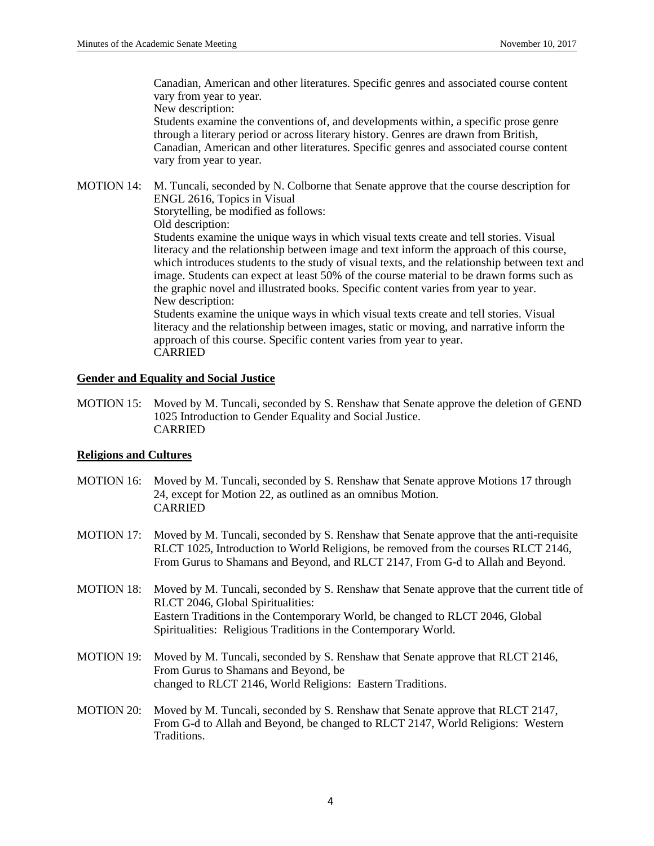Canadian, American and other literatures. Specific genres and associated course content vary from year to year.

New description:

Students examine the conventions of, and developments within, a specific prose genre through a literary period or across literary history. Genres are drawn from British, Canadian, American and other literatures. Specific genres and associated course content vary from year to year.

MOTION 14: M. Tuncali, seconded by N. Colborne that Senate approve that the course description for ENGL 2616, Topics in Visual

Storytelling, be modified as follows:

Old description:

Students examine the unique ways in which visual texts create and tell stories. Visual literacy and the relationship between image and text inform the approach of this course, which introduces students to the study of visual texts, and the relationship between text and image. Students can expect at least 50% of the course material to be drawn forms such as the graphic novel and illustrated books. Specific content varies from year to year. New description:

Students examine the unique ways in which visual texts create and tell stories. Visual literacy and the relationship between images, static or moving, and narrative inform the approach of this course. Specific content varies from year to year. CARRIED

# **Gender and Equality and Social Justice**

MOTION 15: Moved by M. Tuncali, seconded by S. Renshaw that Senate approve the deletion of GEND 1025 Introduction to Gender Equality and Social Justice. CARRIED

# **Religions and Cultures**

- MOTION 16: Moved by M. Tuncali, seconded by S. Renshaw that Senate approve Motions 17 through 24, except for Motion 22, as outlined as an omnibus Motion. CARRIED
- MOTION 17: Moved by M. Tuncali, seconded by S. Renshaw that Senate approve that the anti-requisite RLCT 1025, Introduction to World Religions, be removed from the courses RLCT 2146, From Gurus to Shamans and Beyond, and RLCT 2147, From G-d to Allah and Beyond.
- MOTION 18: Moved by M. Tuncali, seconded by S. Renshaw that Senate approve that the current title of RLCT 2046, Global Spiritualities: Eastern Traditions in the Contemporary World, be changed to RLCT 2046, Global Spiritualities: Religious Traditions in the Contemporary World.
- MOTION 19: Moved by M. Tuncali, seconded by S. Renshaw that Senate approve that RLCT 2146, From Gurus to Shamans and Beyond, be changed to RLCT 2146, World Religions: Eastern Traditions.
- MOTION 20: Moved by M. Tuncali, seconded by S. Renshaw that Senate approve that RLCT 2147, From G-d to Allah and Beyond, be changed to RLCT 2147, World Religions: Western Traditions.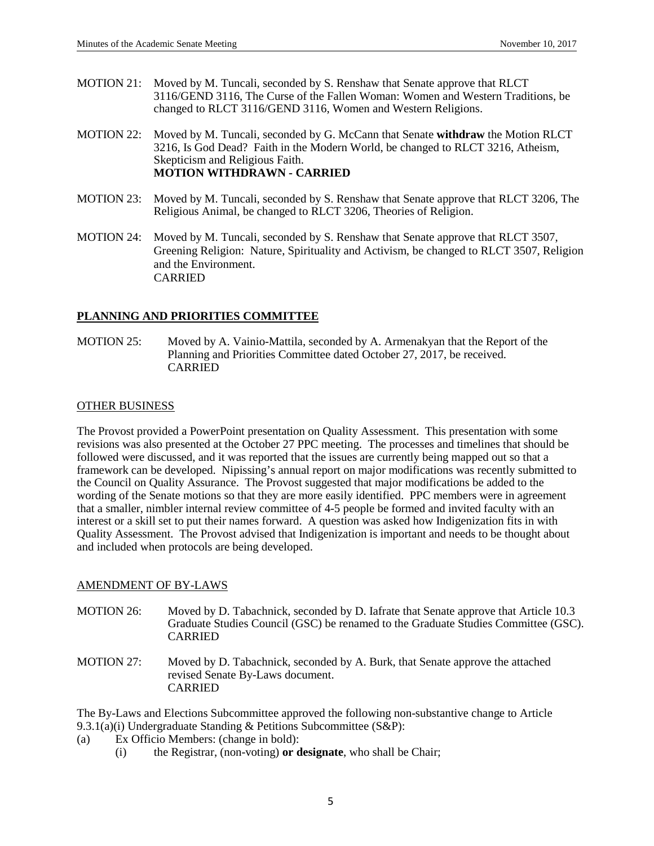- MOTION 21: Moved by M. Tuncali, seconded by S. Renshaw that Senate approve that RLCT 3116/GEND 3116, The Curse of the Fallen Woman: Women and Western Traditions, be changed to RLCT 3116/GEND 3116, Women and Western Religions.
- MOTION 22: Moved by M. Tuncali, seconded by G. McCann that Senate **withdraw** the Motion RLCT 3216, Is God Dead? Faith in the Modern World, be changed to RLCT 3216, Atheism, Skepticism and Religious Faith. **MOTION WITHDRAWN - CARRIED**
- MOTION 23: Moved by M. Tuncali, seconded by S. Renshaw that Senate approve that RLCT 3206, The Religious Animal, be changed to RLCT 3206, Theories of Religion.
- MOTION 24: Moved by M. Tuncali, seconded by S. Renshaw that Senate approve that RLCT 3507, Greening Religion: Nature, Spirituality and Activism, be changed to RLCT 3507, Religion and the Environment. CARRIED

# **PLANNING AND PRIORITIES COMMITTEE**

MOTION 25: Moved by A. Vainio-Mattila, seconded by A. Armenakyan that the Report of the Planning and Priorities Committee dated October 27, 2017, be received. CARRIED

# OTHER BUSINESS

The Provost provided a PowerPoint presentation on Quality Assessment. This presentation with some revisions was also presented at the October 27 PPC meeting. The processes and timelines that should be followed were discussed, and it was reported that the issues are currently being mapped out so that a framework can be developed. Nipissing's annual report on major modifications was recently submitted to the Council on Quality Assurance. The Provost suggested that major modifications be added to the wording of the Senate motions so that they are more easily identified. PPC members were in agreement that a smaller, nimbler internal review committee of 4-5 people be formed and invited faculty with an interest or a skill set to put their names forward. A question was asked how Indigenization fits in with Quality Assessment. The Provost advised that Indigenization is important and needs to be thought about and included when protocols are being developed.

# AMENDMENT OF BY-LAWS

- MOTION 26: Moved by D. Tabachnick, seconded by D. Iafrate that Senate approve that Article 10.3 Graduate Studies Council (GSC) be renamed to the Graduate Studies Committee (GSC). CARRIED
- MOTION 27: Moved by D. Tabachnick, seconded by A. Burk, that Senate approve the attached revised Senate By-Laws document. CARRIED

The By-Laws and Elections Subcommittee approved the following non-substantive change to Article 9.3.1(a)(i) Undergraduate Standing & Petitions Subcommittee (S&P):

- (a) Ex Officio Members: (change in bold):
	- (i) the Registrar, (non-voting) **or designate**, who shall be Chair;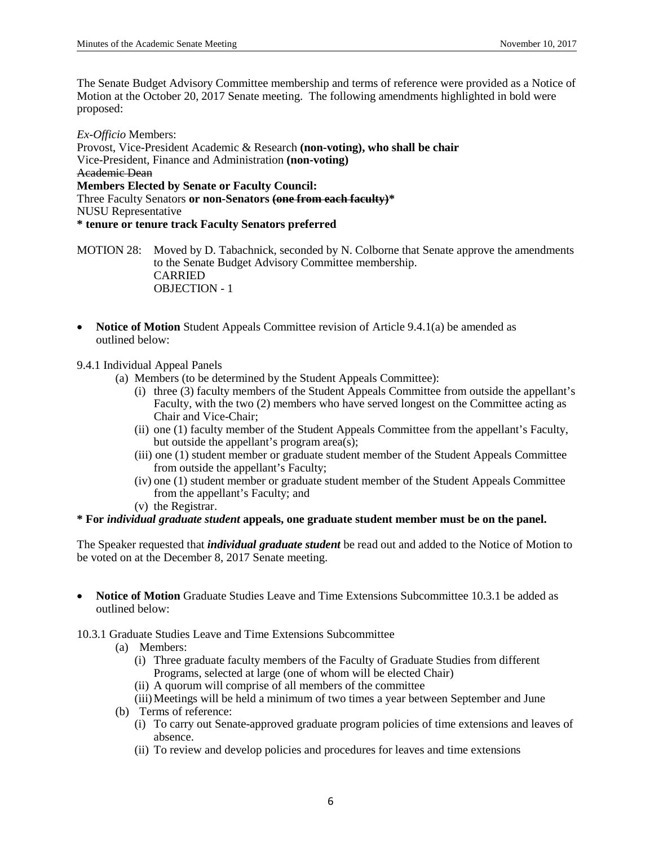The Senate Budget Advisory Committee membership and terms of reference were provided as a Notice of Motion at the October 20, 2017 Senate meeting. The following amendments highlighted in bold were proposed:

*Ex-Officio* Members: Provost, Vice-President Academic & Research **(non-voting), who shall be chair**  Vice-President, Finance and Administration **(non-voting)** Academic Dean **Members Elected by Senate or Faculty Council:** Three Faculty Senators **or non-Senators (one from each faculty)\*** NUSU Representative **\* tenure or tenure track Faculty Senators preferred**

MOTION 28: Moved by D. Tabachnick, seconded by N. Colborne that Senate approve the amendments to the Senate Budget Advisory Committee membership. CARRIED OBJECTION - 1

• **Notice of Motion** Student Appeals Committee revision of Article 9.4.1(a) be amended as outlined below:

9.4.1 Individual Appeal Panels

- (a) Members (to be determined by the Student Appeals Committee):
	- (i) three (3) faculty members of the Student Appeals Committee from outside the appellant's Faculty, with the two (2) members who have served longest on the Committee acting as Chair and Vice-Chair;
	- (ii) one (1) faculty member of the Student Appeals Committee from the appellant's Faculty, but outside the appellant's program area(s);
	- (iii) one (1) student member or graduate student member of the Student Appeals Committee from outside the appellant's Faculty;
	- (iv) one (1) student member or graduate student member of the Student Appeals Committee from the appellant's Faculty; and
	- (v) the Registrar.

# **\* For** *individual graduate student* **appeals, one graduate student member must be on the panel.**

The Speaker requested that *individual graduate student* be read out and added to the Notice of Motion to be voted on at the December 8, 2017 Senate meeting.

• **Notice of Motion** Graduate Studies Leave and Time Extensions Subcommittee 10.3.1 be added as outlined below:

10.3.1 Graduate Studies Leave and Time Extensions Subcommittee

- (a) Members:
	- (i) Three graduate faculty members of the Faculty of Graduate Studies from different Programs, selected at large (one of whom will be elected Chair)
	- (ii) A quorum will comprise of all members of the committee
	- (iii)Meetings will be held a minimum of two times a year between September and June
- (b) Terms of reference:
	- (i) To carry out Senate-approved graduate program policies of time extensions and leaves of absence.
	- (ii) To review and develop policies and procedures for leaves and time extensions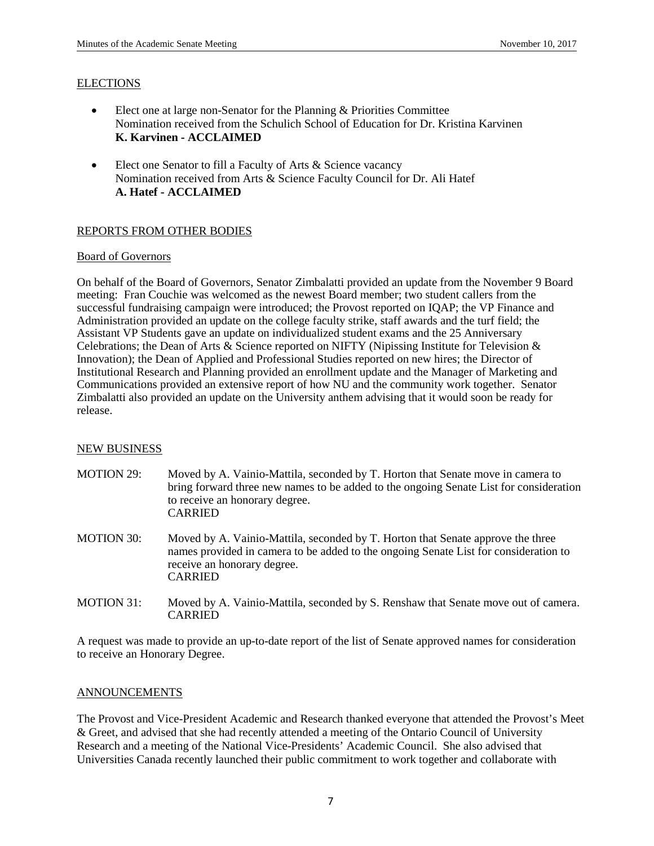## **ELECTIONS**

- Elect one at large non-Senator for the Planning & Priorities Committee Nomination received from the Schulich School of Education for Dr. Kristina Karvinen **K. Karvinen - ACCLAIMED**
- Elect one Senator to fill a Faculty of Arts & Science vacancy Nomination received from Arts & Science Faculty Council for Dr. Ali Hatef **A. Hatef - ACCLAIMED**

# REPORTS FROM OTHER BODIES

### Board of Governors

On behalf of the Board of Governors, Senator Zimbalatti provided an update from the November 9 Board meeting: Fran Couchie was welcomed as the newest Board member; two student callers from the successful fundraising campaign were introduced; the Provost reported on IQAP; the VP Finance and Administration provided an update on the college faculty strike, staff awards and the turf field; the Assistant VP Students gave an update on individualized student exams and the 25 Anniversary Celebrations; the Dean of Arts & Science reported on NIFTY (Nipissing Institute for Television & Innovation); the Dean of Applied and Professional Studies reported on new hires; the Director of Institutional Research and Planning provided an enrollment update and the Manager of Marketing and Communications provided an extensive report of how NU and the community work together. Senator Zimbalatti also provided an update on the University anthem advising that it would soon be ready for release.

# NEW BUSINESS

- MOTION 29: Moved by A. Vainio-Mattila, seconded by T. Horton that Senate move in camera to bring forward three new names to be added to the ongoing Senate List for consideration to receive an honorary degree. CARRIED
- MOTION 30: Moved by A. Vainio-Mattila, seconded by T. Horton that Senate approve the three names provided in camera to be added to the ongoing Senate List for consideration to receive an honorary degree. CARRIED
- MOTION 31: Moved by A. Vainio-Mattila, seconded by S. Renshaw that Senate move out of camera. CARRIED

A request was made to provide an up-to-date report of the list of Senate approved names for consideration to receive an Honorary Degree.

### **ANNOUNCEMENTS**

The Provost and Vice-President Academic and Research thanked everyone that attended the Provost's Meet & Greet, and advised that she had recently attended a meeting of the Ontario Council of University Research and a meeting of the National Vice-Presidents' Academic Council. She also advised that Universities Canada recently launched their public commitment to work together and collaborate with